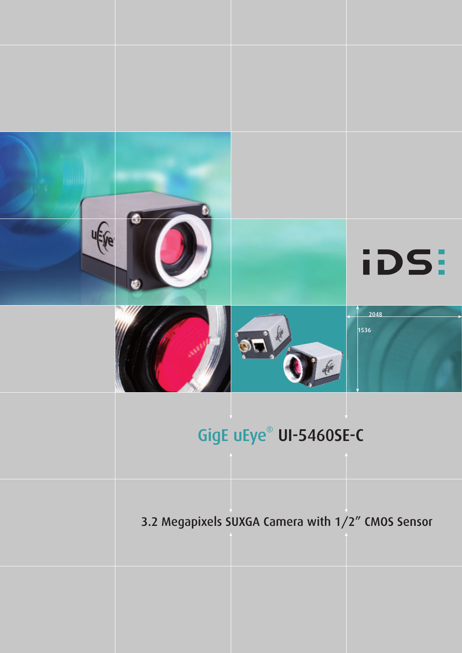